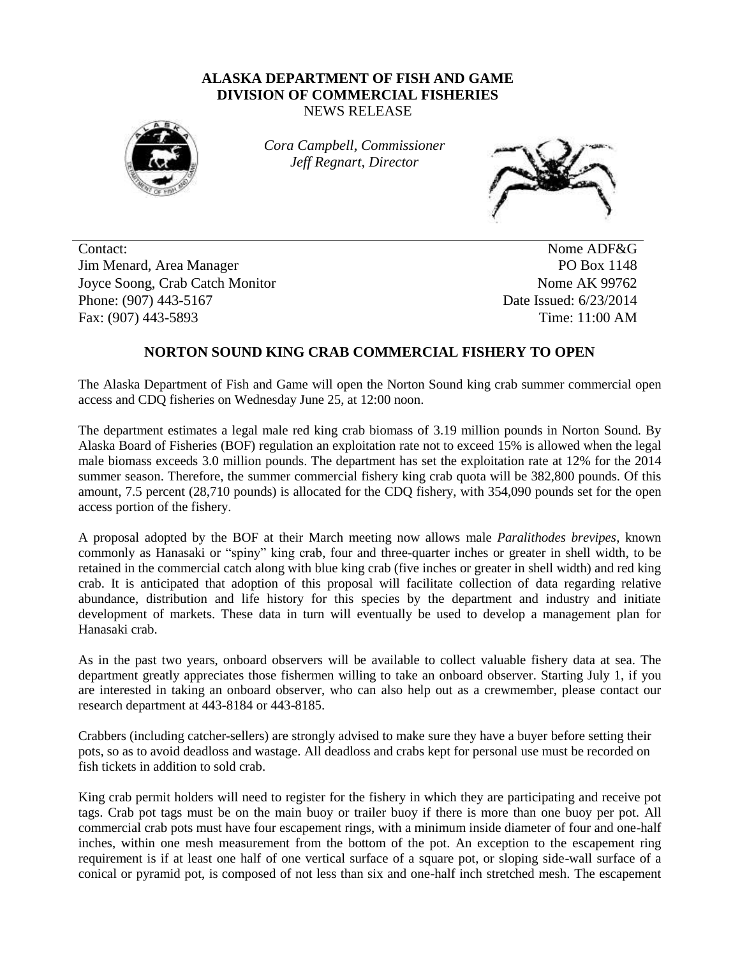## **ALASKA DEPARTMENT OF FISH AND GAME DIVISION OF COMMERCIAL FISHERIES** NEWS RELEASE



*Cora Campbell, Commissioner Jeff Regnart, Director*



Contact: Nome ADF&G Jim Menard, Area Manager PO Box 1148 Joyce Soong, Crab Catch Monitor Nome AK 99762 Phone: (907) 443-5167 **Date Issued: 6/23/2014** Fax: (907) 443-5893 Time: 11:00 AM

## **NORTON SOUND KING CRAB COMMERCIAL FISHERY TO OPEN**

The Alaska Department of Fish and Game will open the Norton Sound king crab summer commercial open access and CDQ fisheries on Wednesday June 25, at 12:00 noon.

The department estimates a legal male red king crab biomass of 3.19 million pounds in Norton Sound. By Alaska Board of Fisheries (BOF) regulation an exploitation rate not to exceed 15% is allowed when the legal male biomass exceeds 3.0 million pounds. The department has set the exploitation rate at 12% for the 2014 summer season. Therefore, the summer commercial fishery king crab quota will be 382,800 pounds. Of this amount, 7.5 percent (28,710 pounds) is allocated for the CDQ fishery, with 354,090 pounds set for the open access portion of the fishery.

A proposal adopted by the BOF at their March meeting now allows male *Paralithodes brevipes*, known commonly as Hanasaki or "spiny" king crab, four and three-quarter inches or greater in shell width, to be retained in the commercial catch along with blue king crab (five inches or greater in shell width) and red king crab. It is anticipated that adoption of this proposal will facilitate collection of data regarding relative abundance, distribution and life history for this species by the department and industry and initiate development of markets. These data in turn will eventually be used to develop a management plan for Hanasaki crab.

As in the past two years, onboard observers will be available to collect valuable fishery data at sea. The department greatly appreciates those fishermen willing to take an onboard observer. Starting July 1, if you are interested in taking an onboard observer, who can also help out as a crewmember, please contact our research department at 443-8184 or 443-8185.

Crabbers (including catcher-sellers) are strongly advised to make sure they have a buyer before setting their pots, so as to avoid deadloss and wastage. All deadloss and crabs kept for personal use must be recorded on fish tickets in addition to sold crab.

King crab permit holders will need to register for the fishery in which they are participating and receive pot tags. Crab pot tags must be on the main buoy or trailer buoy if there is more than one buoy per pot. All commercial crab pots must have four escapement rings, with a minimum inside diameter of four and one-half inches, within one mesh measurement from the bottom of the pot. An exception to the escapement ring requirement is if at least one half of one vertical surface of a square pot, or sloping side-wall surface of a conical or pyramid pot, is composed of not less than six and one-half inch stretched mesh. The escapement